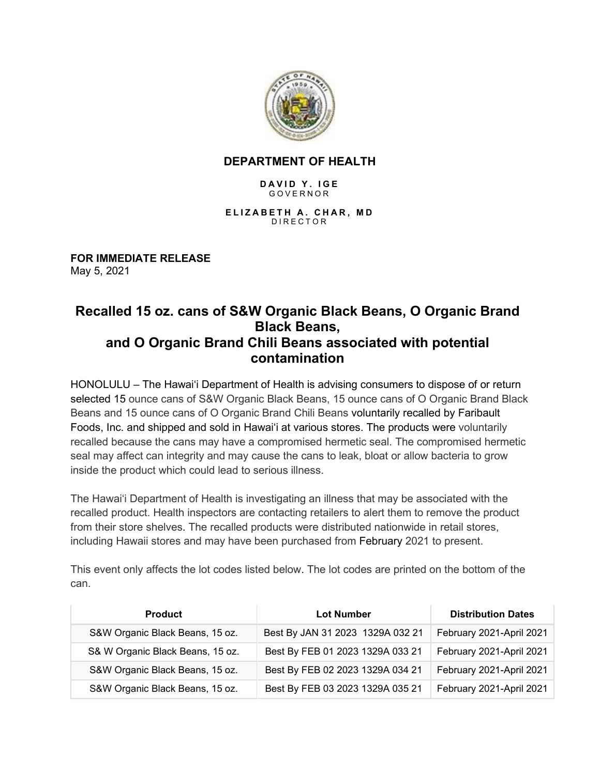

## **DEPARTMENT OF HEALTH**

## **DAVID Y. IGE** GOVERNOR

**ELIZABETH A. CHAR, MD** DIRECTOR

**FOR IMMEDIATE RELEASE** May 5, 2021

## **Recalled 15 oz. cans of S&W Organic Black Beans, O Organic Brand Black Beans, and O Organic Brand Chili Beans associated with potential contamination**

HONOLULU – The Hawai'i Department of Health is advising consumers to dispose of or return selected 15 ounce cans of S&W Organic Black Beans, 15 ounce cans of O Organic Brand Black Beans and 15 ounce cans of O Organic Brand Chili Beans voluntarily recalled by Faribault Foods, Inc. and shipped and sold in Hawai'i at various stores. The products were voluntarily recalled because the cans may have a compromised hermetic seal. The compromised hermetic seal may affect can integrity and may cause the cans to leak, bloat or allow bacteria to grow inside the product which could lead to serious illness.

The Hawai'i Department of Health is investigating an illness that may be associated with the recalled product. Health inspectors are contacting retailers to alert them to remove the product from their store shelves. The recalled products were distributed nationwide in retail stores, including Hawaii stores and may have been purchased from February 2021 to present.

This event only affects the lot codes listed below. The lot codes are printed on the bottom of the can.

| <b>Product</b>                   | <b>Lot Number</b>                | <b>Distribution Dates</b> |
|----------------------------------|----------------------------------|---------------------------|
| S&W Organic Black Beans, 15 oz.  | Best By JAN 31 2023 1329A 032 21 | February 2021-April 2021  |
| S& W Organic Black Beans, 15 oz. | Best By FEB 01 2023 1329A 033 21 | February 2021-April 2021  |
| S&W Organic Black Beans, 15 oz.  | Best By FEB 02 2023 1329A 034 21 | February 2021-April 2021  |
| S&W Organic Black Beans, 15 oz.  | Best By FEB 03 2023 1329A 035 21 | February 2021-April 2021  |